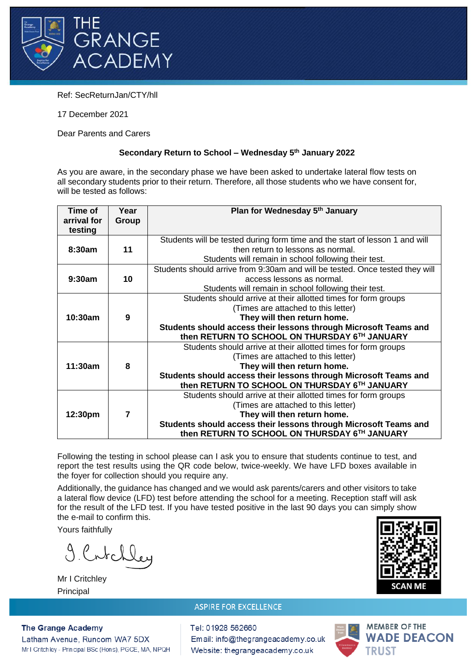

Ref: SecReturnJan/CTY/hll

17 December 2021

Dear Parents and Carers

## **Secondary Return to School – Wednesday 5th January 2022**

As you are aware, in the secondary phase we have been asked to undertake lateral flow tests on all secondary students prior to their return. Therefore, all those students who we have consent for, will be tested as follows:

| Time of     | Year           | Plan for Wednesday 5th January                                               |
|-------------|----------------|------------------------------------------------------------------------------|
| arrival for | Group          |                                                                              |
| testing     |                |                                                                              |
|             |                | Students will be tested during form time and the start of lesson 1 and will  |
| 8:30am      | 11             | then return to lessons as normal.                                            |
|             |                | Students will remain in school following their test.                         |
|             |                | Students should arrive from 9:30am and will be tested. Once tested they will |
| 9:30am      | 10             | access lessons as normal.                                                    |
|             |                | Students will remain in school following their test.                         |
|             |                | Students should arrive at their allotted times for form groups               |
| 10:30am     |                | (Times are attached to this letter)                                          |
|             | 9              | They will then return home.                                                  |
|             |                | Students should access their lessons through Microsoft Teams and             |
|             |                | then RETURN TO SCHOOL ON THURSDAY 6TH JANUARY                                |
| 11:30am     |                | Students should arrive at their allotted times for form groups               |
|             |                | (Times are attached to this letter)                                          |
|             | 8              | They will then return home.                                                  |
|             |                | Students should access their lessons through Microsoft Teams and             |
|             |                | then RETURN TO SCHOOL ON THURSDAY 6TH JANUARY                                |
| 12:30pm     |                | Students should arrive at their allotted times for form groups               |
|             |                | (Times are attached to this letter)                                          |
|             | $\overline{7}$ | They will then return home.                                                  |
|             |                | Students should access their lessons through Microsoft Teams and             |
|             |                | then RETURN TO SCHOOL ON THURSDAY 6TH JANUARY                                |

Following the testing in school please can I ask you to ensure that students continue to test, and report the test results using the QR code below, twice-weekly. We have LFD boxes available in the foyer for collection should you require any.

Additionally, the guidance has changed and we would ask parents/carers and other visitors to take a lateral flow device (LFD) test before attending the school for a meeting. Reception staff will ask for the result of the LFD test. If you have tested positive in the last 90 days you can simply show the e-mail to confirm this.

Yours faithfully

9. Crtchley

Mr I Critchley Principal

# **SCAN ME**

#### **ASPIRE FOR EXCELLENCE**

Tel: 01928 562660 Email: info@thegrangeacademy.co.uk Website: thegrangeacademy.co.uk



**The Grange Academy** Latham Avenue, Runcom WA7 5DX Mr I Critchley - Principal BSc (Hons), PGCE, MA, NPQH